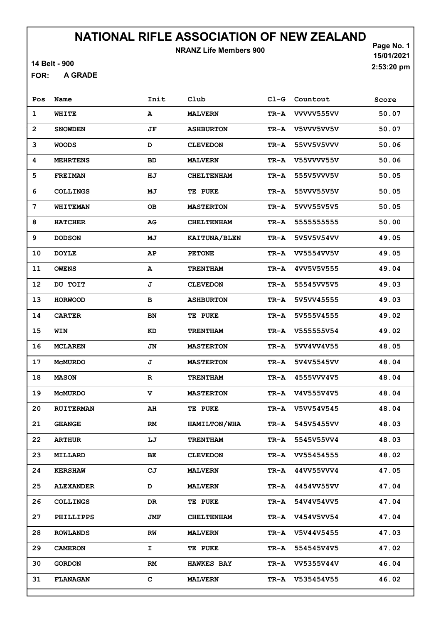NRANZ Life Members 900

14 Belt - 900

A GRADE FOR:

Page No. 1 15/01/2021 2:53:20 pm

| Pos            | Name             | Init        | Club              | $C1-G$   | Countout          | Score |
|----------------|------------------|-------------|-------------------|----------|-------------------|-------|
| $\mathbf 1$    | WHITE            | А           | <b>MALVERN</b>    | TR-A     | VVVVV555VV        | 50.07 |
| $\overline{2}$ | <b>SNOWDEN</b>   | JF          | <b>ASHBURTON</b>  | TR-A     | V5VVV5VV5V        | 50.07 |
| 3              | <b>WOODS</b>     | D           | <b>CLEVEDON</b>   | TR-A     | 55VV5V5VVV        | 50.06 |
| 4              | <b>MEHRTENS</b>  | BD          | <b>MALVERN</b>    | TR-A     | V55VVVV55V        | 50.06 |
| 5              | <b>FREIMAN</b>   | ΗJ          | <b>CHELTENHAM</b> | TR-A     | 555V5VVV5V        | 50.05 |
| 6              | <b>COLLINGS</b>  | МJ          | <b>TE PUKE</b>    | TR-A     | 55VVV55V5V        | 50.05 |
| 7              | WHITEMAN         | <b>OB</b>   | <b>MASTERTON</b>  | $TR - A$ | 5VVV55V5V5        | 50.05 |
| 8              | <b>HATCHER</b>   | AG          | <b>CHELTENHAM</b> | TR-A     | 5555555555        | 50.00 |
| 9              | <b>DODSON</b>    | MJ          | KAITUNA/BLEN      | TR-A     | 5V5V5V54VV        | 49.05 |
| 10             | <b>DOYLE</b>     | AP          | <b>PETONE</b>     | TR-A     | VV5554VV5V        | 49.05 |
| 11             | <b>OWENS</b>     | А           | <b>TRENTHAM</b>   | TR-A     | 4VV5V5V555        | 49.04 |
| 12             | DU TOIT          | J           | <b>CLEVEDON</b>   | TR-A     | 55545VV5V5        | 49.03 |
| 13             | <b>HORWOOD</b>   | в           | <b>ASHBURTON</b>  | TR-A     | 5V5VV45555        | 49.03 |
| 14             | <b>CARTER</b>    | BN          | <b>TE PUKE</b>    | TR-A     | 5V555V4555        | 49.02 |
| 15             | WIN              | KD          | <b>TRENTHAM</b>   | TR-A     | V555555V54        | 49.02 |
| 16             | <b>MCLAREN</b>   | JN          | <b>MASTERTON</b>  | TR-A     | 5VV4VV4V55        | 48.05 |
| 17             | <b>MCMURDO</b>   | J           | <b>MASTERTON</b>  | TR-A     | 5V4V5545VV        | 48.04 |
| 18             | <b>MASON</b>     | $\mathbf R$ | <b>TRENTHAM</b>   | TR-A     | 4555VVV4V5        | 48.04 |
| 19             | <b>MCMURDO</b>   | v           | <b>MASTERTON</b>  | TR-A     | V4V555V4V5        | 48.04 |
| 20             | <b>RUITERMAN</b> | AH          | TE PUKE           | TR-A     | V5VV54V545        | 48.04 |
| 21             | <b>GEANGE</b>    | RM          | HAMILTON/WHA      |          | TR-A 545V5455VV   | 48.03 |
| 22             | <b>ARTHUR</b>    | LJ          | <b>TRENTHAM</b>   | TR-A     | 5545V55VV4        | 48.03 |
| 23             | <b>MILLARD</b>   | ВE          | <b>CLEVEDON</b>   |          | TR-A VV55454555   | 48.02 |
| 24             | <b>KERSHAW</b>   | CJ          | <b>MALVERN</b>    | TR-A     | 44VV55VVV4        | 47.05 |
| 25             | <b>ALEXANDER</b> | D           | <b>MALVERN</b>    |          | TR-A 4454VV55VV   | 47.04 |
| 26             | <b>COLLINGS</b>  | DR.         | TE PUKE           | TR-A     | 54V4V54VV5        | 47.04 |
| 27             | PHILLIPPS        | JMF         | <b>CHELTENHAM</b> | TR-A     | <b>V454V5VV54</b> | 47.04 |
| 28             | <b>ROWLANDS</b>  | RW          | <b>MALVERN</b>    | TR-A     | V5V44V5455        | 47.03 |
| 29             | <b>CAMERON</b>   | I.          | <b>TE PUKE</b>    |          | TR-A 554545V4V5   | 47.02 |
| 30             | <b>GORDON</b>    | RM          | <b>HAWKES BAY</b> |          | TR-A VV5355V44V   | 46.04 |
| 31             | FLANAGAN         | c           | <b>MALVERN</b>    |          | TR-A V535454V55   | 46.02 |
|                |                  |             |                   |          |                   |       |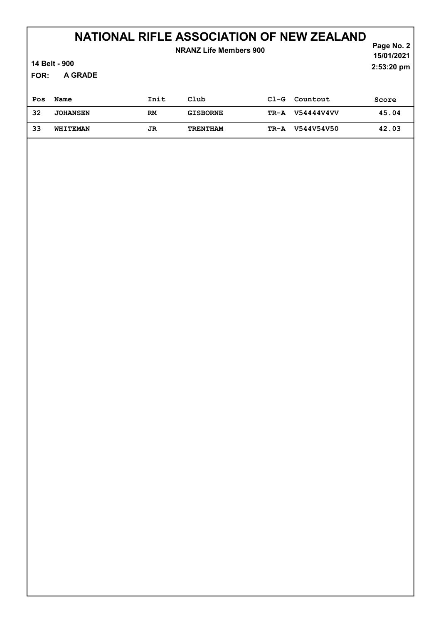| <b>NRANZ Life Members 900</b><br>14 Belt - 900 |                 |      |                 |        |            | Page No. 2<br>15/01/2021<br>2:53:20 pm |
|------------------------------------------------|-----------------|------|-----------------|--------|------------|----------------------------------------|
| A GRADE<br>FOR:                                |                 |      |                 |        |            |                                        |
| Pos                                            | Name            | Init | Club            | $C1-G$ | Countout   | Score                                  |
| 32                                             | <b>JOHANSEN</b> | RM   | <b>GISBORNE</b> | TR-A   | V54444V4VV | 45.04                                  |
| 33                                             | WHITEMAN        | JR   | <b>TRENTHAM</b> | TR-A   | V544V54V50 | 42.03                                  |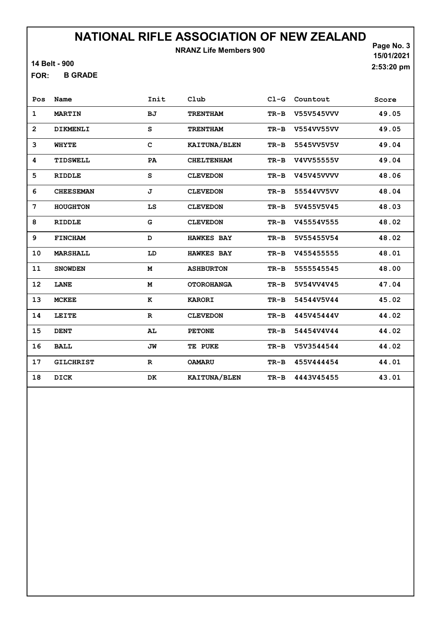NRANZ Life Members 900

14 Belt - 900

B GRADE FOR:

Page No. 3 15/01/2021 2:53:20 pm

| Pos            | Name             | Init         | Club              |        | Cl-G Countout | Score |
|----------------|------------------|--------------|-------------------|--------|---------------|-------|
| $\mathbf{1}$   | <b>MARTIN</b>    | ВJ           | <b>TRENTHAM</b>   | $TR-B$ | V55V545VVV    | 49.05 |
| $\overline{2}$ | DIKMENLI         | S            | <b>TRENTHAM</b>   | $TR-B$ | V554VV55VV    | 49.05 |
| 3              | <b>WHYTE</b>     | $\mathbf{C}$ | KAITUNA/BLEN      | $TR-B$ | 5545VV5V5V    | 49.04 |
| 4              | TIDSWELL         | PA           | <b>CHELTENHAM</b> | $TR-B$ | V4VV55555V    | 49.04 |
| 5              | <b>RIDDLE</b>    | S            | <b>CLEVEDON</b>   | $TR-B$ | V45V45VVVV    | 48.06 |
| 6              | <b>CHEESEMAN</b> | J            | <b>CLEVEDON</b>   | $TR-B$ | 55544VV5VV    | 48.04 |
| 7              | <b>HOUGHTON</b>  | LS           | <b>CLEVEDON</b>   | $TR-B$ | 5V455V5V45    | 48.03 |
| 8              | <b>RIDDLE</b>    | G            | <b>CLEVEDON</b>   | $TR-B$ | V45554V555    | 48.02 |
| 9              | <b>FINCHAM</b>   | D            | <b>HAWKES BAY</b> | $TR-B$ | 5V55455V54    | 48.02 |
| 10             | MARSHALL         | LD           | <b>HAWKES BAY</b> | $TR-B$ | V455455555    | 48.01 |
| 11             | <b>SNOWDEN</b>   | M            | <b>ASHBURTON</b>  | $TR-B$ | 5555545545    | 48.00 |
| 12             | LANE             | M            | <b>OTOROHANGA</b> | TR-B   | 5V54VV4V45    | 47.04 |
| 13             | <b>MCKEE</b>     | к            | <b>KARORI</b>     | $TR-B$ | 54544V5V44    | 45.02 |
| 14             | LEITE            | $\mathbf R$  | <b>CLEVEDON</b>   | $TR-B$ | 445V45444V    | 44.02 |
| 15             | <b>DENT</b>      | AL           | <b>PETONE</b>     | $TR-B$ | 54454V4V44    | 44.02 |
| 16             | <b>BALL</b>      | JW           | TE PUKE           | TR-B   | V5V3544544    | 44.02 |
| 17             | <b>GILCHRIST</b> | $\mathbf R$  | <b>OAMARU</b>     | TR-B   | 455V444454    | 44.01 |
| 18             | DICK             | DK           | KAITUNA/BLEN      | $TR-B$ | 4443V45455    | 43.01 |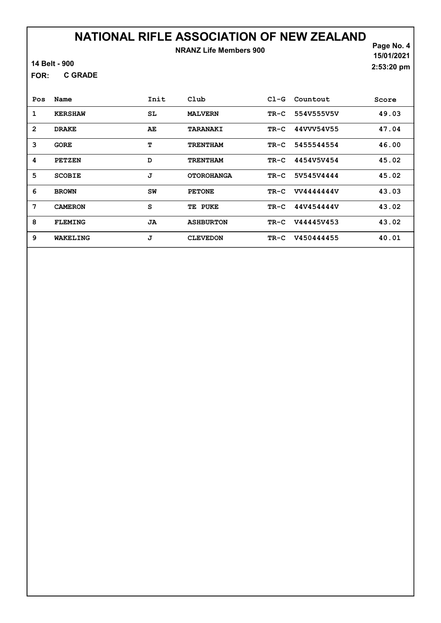### NATIONAL RIFLE ASSOCIATION OF NEW ZEALAND NRANZ Life Members 900

14 Belt - 900

C GRADE FOR:

Page No. 4 15/01/2021 2:53:20 pm

| Pos            | Name           | Init | $_{\rm Club}$      | $C1-G$ | Countout   | Score |
|----------------|----------------|------|--------------------|--------|------------|-------|
| 1              | <b>KERSHAW</b> | SL   | <b>MALVERN</b>     | $TR-C$ | 554V555V5V | 49.03 |
| $\overline{2}$ | <b>DRAKE</b>   | AE   | <b>TARANAKI</b>    | $TR-C$ | 44VVV54V55 | 47.04 |
| 3              | <b>GORE</b>    | т    | <b>TRENTHAM</b>    | TR-C   | 5455544554 | 46.00 |
| 4              | <b>PETZEN</b>  | D    | <b>TRENTHAM</b>    | TR-C   | 4454V5V454 | 45.02 |
| 5              | <b>SCOBIE</b>  | J    | <b>OTOROHANGA</b>  | $TR-C$ | 5V545V4444 | 45.02 |
| 6              | <b>BROWN</b>   | SW   | <b>PETONE</b>      | $TR-C$ | VV4444444V | 43.03 |
| 7              | <b>CAMERON</b> | S    | <b>PUKE</b><br>TE. | TR-C   | 44V454444V | 43.02 |
| 8              | <b>FLEMING</b> | JA   | <b>ASHBURTON</b>   | $TR-C$ | V44445V453 | 43.02 |
| 9              | WAKELING       | J    | <b>CLEVEDON</b>    | $TR-C$ | V450444455 | 40.01 |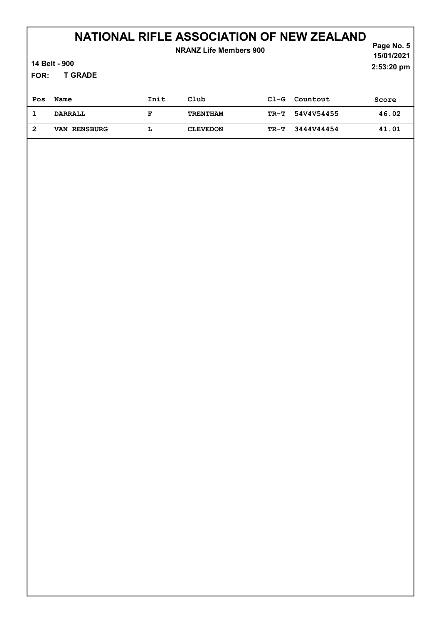| <b>NRANZ Life Members 900</b><br>14 Belt - 900<br><b>T GRADE</b><br>FOR: |                |      |                 |        |            | Page No. 5<br>15/01/2021<br>2:53:20 pm |
|--------------------------------------------------------------------------|----------------|------|-----------------|--------|------------|----------------------------------------|
| Pos                                                                      | Name           | Init | $_{\rm Club}$   | $C1-G$ | Countout   | Score                                  |
| 1                                                                        | <b>DARRALL</b> | F    | <b>TRENTHAM</b> | TR-T   | 54V4V54455 | 46.02                                  |
| $\overline{2}$                                                           | VAN RENSBURG   | L    | <b>CLEVEDON</b> | TR-T   | 3444V44454 | 41.01                                  |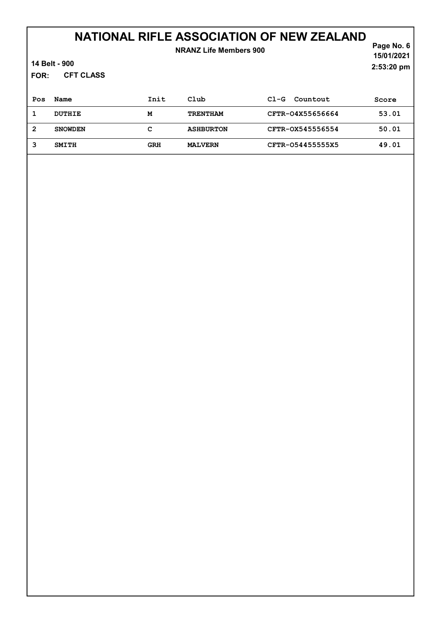| <b>NRANZ Life Members 900</b><br>14 Belt - 900<br><b>CFT CLASS</b><br>FOR: |                |            |                  |                    |       |  |
|----------------------------------------------------------------------------|----------------|------------|------------------|--------------------|-------|--|
| Pos                                                                        | Name           | Init       | Club             | Countout<br>$C1-G$ | Score |  |
| 1                                                                          | <b>DUTHIE</b>  | M          | <b>TRENTHAM</b>  | CFTR-04X55656664   | 53.01 |  |
| $\overline{2}$                                                             | <b>SNOWDEN</b> | с          | <b>ASHBURTON</b> | CFTR-0X545556554   | 50.01 |  |
| 3                                                                          | <b>SMITH</b>   | <b>GRH</b> | <b>MALVERN</b>   | CFTR-054455555X5   | 49.01 |  |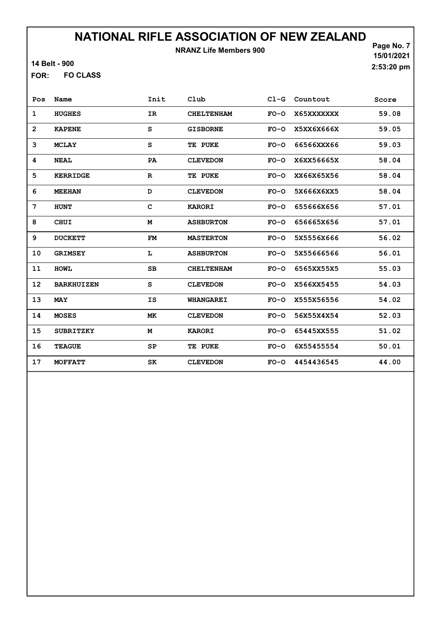NRANZ Life Members 900

14 Belt - 900

FO CLASS FOR:

Page No. 7 15/01/2021 2:53:20 pm

| Pos            | Name              | Init        | Club              | $CL-G$ | Countout   | Score |
|----------------|-------------------|-------------|-------------------|--------|------------|-------|
| 1              | <b>HUGHES</b>     | IR          | <b>CHELTENHAM</b> | $FO-O$ | X65XXXXXXX | 59.08 |
| $\overline{2}$ | <b>KAPENE</b>     | S           | <b>GISBORNE</b>   | $FO-O$ | X5XX6X666X | 59.05 |
| 3              | <b>MCLAY</b>      | S           | TE PUKE           | $FO-O$ | 66566XXX66 | 59.03 |
| 4              | <b>NEAL</b>       | PA          | <b>CLEVEDON</b>   | $FO-O$ | X6XX56665X | 58.04 |
| 5              | <b>KERRIDGE</b>   | $\mathbf R$ | TE PUKE           | $FO-O$ | XX66X65X56 | 58.04 |
| 6              | <b>MEEHAN</b>     | D           | <b>CLEVEDON</b>   | $FO-O$ | 5X666X6XX5 | 58.04 |
| 7              | <b>HUNT</b>       | C           | <b>KARORI</b>     | $FO-O$ | 655666X656 | 57.01 |
| 8              | <b>CHUI</b>       | M           | <b>ASHBURTON</b>  | $FO-O$ | 656665X656 | 57.01 |
| 9              | <b>DUCKETT</b>    | FM          | <b>MASTERTON</b>  | $FO-O$ | 5X5556X666 | 56.02 |
| 10             | <b>GRIMSEY</b>    | L           | <b>ASHBURTON</b>  | $FO-O$ | 5X55666566 | 56.01 |
| 11             | <b>HOWL</b>       | SВ          | <b>CHELTENHAM</b> | $FO-O$ | 6565XX55X5 | 55.03 |
| 12             | <b>BARKHUIZEN</b> | S           | <b>CLEVEDON</b>   | $FO-O$ | X566XX5455 | 54.03 |
| 13             | <b>MAY</b>        | IS          | <b>WHANGAREI</b>  | $FO-O$ | X555X56556 | 54.02 |
| 14             | <b>MOSES</b>      | МK          | <b>CLEVEDON</b>   | $FO-O$ | 56X55X4X54 | 52.03 |
| 15             | <b>SUBRITZKY</b>  | М           | <b>KARORI</b>     | $FO-O$ | 65445XX555 | 51.02 |
| 16             | <b>TEAGUE</b>     | SP          | TE PUKE           | $FO-O$ | 6X55455554 | 50.01 |
| 17             | <b>MOFFATT</b>    | SK          | <b>CLEVEDON</b>   | $FO-O$ | 4454436545 | 44.00 |
|                |                   |             |                   |        |            |       |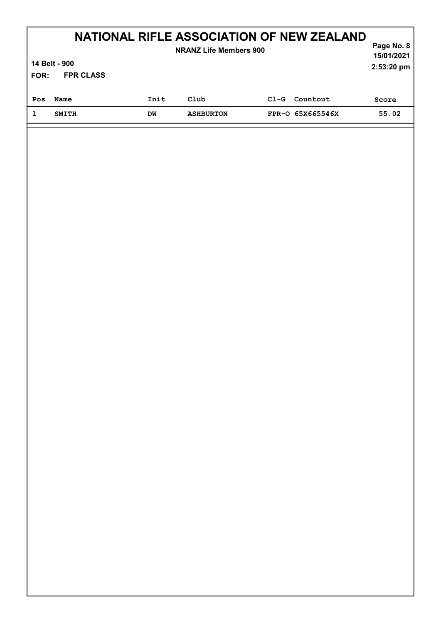| NATIONAL RIFLE ASSOCIATION OF NEW ZEALAND<br>Page No. 8<br><b>NRANZ Life Members 900</b> |                                           |      |                  |        |                  |       |  |  |
|------------------------------------------------------------------------------------------|-------------------------------------------|------|------------------|--------|------------------|-------|--|--|
|                                                                                          | 15/01/2021<br>14 Belt - 900<br>2:53:20 pm |      |                  |        |                  |       |  |  |
| FOR:                                                                                     | <b>FPR CLASS</b>                          |      |                  |        |                  |       |  |  |
| Pos                                                                                      | Name                                      | Init | Club             | $C1-G$ | Countout         | Score |  |  |
|                                                                                          | <b>SMITH</b>                              | DM   | <b>ASHBURTON</b> |        | FPR-0 65X665546X | 55.02 |  |  |
|                                                                                          |                                           |      |                  |        |                  |       |  |  |